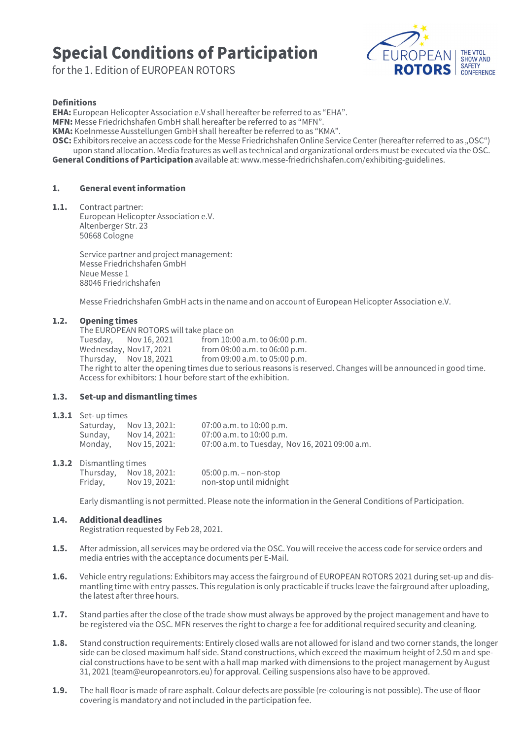# Special Conditions of Participation

for the 1. Edition of EUROPEAN ROTORS



### Definitions

EHA: European Helicopter Association e.V shall hereafter be referred to as "EHA".

MFN: Messe Friedrichshafen GmbH shall hereafter be referred to as "MFN".

KMA: Koelnmesse Ausstellungen GmbH shall hereafter be referred to as "KMA".

OSC: Exhibitors receive an access code for the Messe Friedrichshafen Online Service Center (hereafter referred to as "OSC") upon stand allocation. Media features as well as technical and organizational orders must be executed via the OSC. General Conditions of Participation available at[: www.messe-friedrichshafen.com/exhibiting-guidelines](http://www.messe-friedrichshafen.com/mfn-en/company/exhibiting-guidelines.php).

# 1. General event information

1.1. Contract partner: European Helicopter Association e.V. Altenberger Str. 23 50668 Cologne

> Service partner and project management: Messe Friedrichshafen GmbH Neue Messe 1 88046 Friedrichshafen

Messe Friedrichshafen GmbH acts in the name and on account of European Helicopter Association e.V.

## 1.2. Opening times

The EUROPEAN ROTORS will take place on<br>Tuesday, Nov 16, 2021 from 10:0 Tuesday, Nov 16, 2021 from 10:00 a.m. to 06:00 p.m.<br>Wednesday, Nov 17, 2021 from 09:00 a.m. to 06:00 p.m. Wednesday, Nov17, 2021 from 09:00 a.m. to 06:00 p.m.<br>Thursday, Nov 18, 2021 from 09:00 a.m. to 05:00 p.m. from 09:00 a.m. to 05:00 p.m. The right to alter the opening times due to serious reasons is reserved. Changes will be announced in good time. Access for exhibitors: 1 hour before start of the exhibition.

## 1.3. Set-up and dismantling times

#### 1.3.1 Set-up times

| Saturday, | Nov 13, 2021: | 07:00 a.m. to 10:00 p.m.                       |
|-----------|---------------|------------------------------------------------|
| Sunday,   | Nov 14, 2021: | 07:00 a.m. to 10:00 p.m.                       |
| Monday,   | Nov 15, 2021: | 07:00 a.m. to Tuesday, Nov 16, 2021 09:00 a.m. |

#### 1.3.2 Dismantling times

|         | Thursday, $Nov 18, 2021$ : | $05:00$ p.m. – non-stop |
|---------|----------------------------|-------------------------|
| Friday, | Nov 19, 2021:              | non-stop until midnight |

Early dismantling is not permitted. Please note the information in the General Conditions of Participation.

## 1.4. Additional deadlines

Registration requested by Feb 28, 2021.

- 1.5. After admission, all services may be ordered via the OSC. You will receive the access code for service orders and media entries with the acceptance documents per E-Mail.
- 1.6. Vehicle entry regulations: Exhibitors may access the fairground of EUROPEAN ROTORS 2021 during set-up and dismantling time with entry passes. This regulation is only practicable if trucks leave the fairground after uploading, the latest after three hours.
- 1.7. Stand parties after the close of the trade show must always be approved by the project management and have to be registered via the OSC. MFN reserves the right to charge a fee for additional required security and cleaning.
- 1.8. Stand construction requirements: Entirely closed walls are not allowed for island and two corner stands, the longer side can be closed maximum half side. Stand constructions, which exceed the maximum height of 2.50 m and special constructions have to be sent with a hall map marked with dimensions to the project management by August 31, 2021 ([team@europeanrotors.eu\)](mailto:team%40europeanrotors.eu?subject=) for approval. Ceiling suspensions also have to be approved.
- 1.9. The hall floor is made of rare asphalt. Colour defects are possible (re-colouring is not possible). The use of floor covering is mandatory and not included in the participation fee.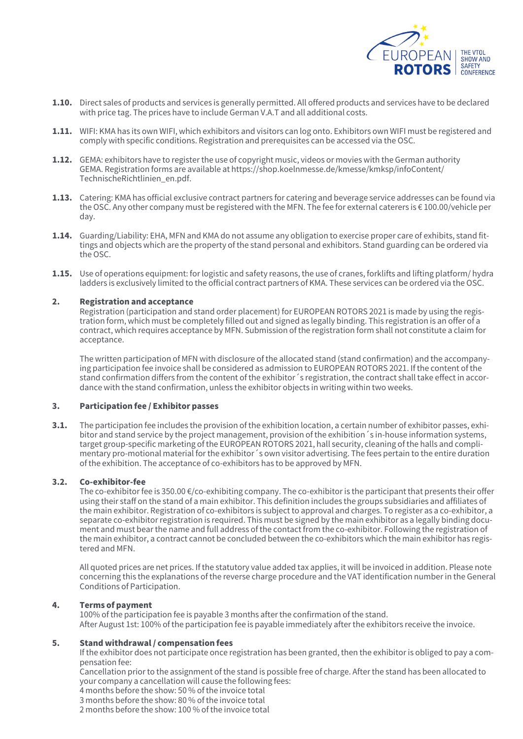

- 1.10. Direct sales of products and services is generally permitted. All offered products and services have to be declared with price tag. The prices have to include German V.A.T and all additional costs.
- 1.11. WIFI: KMA has its own WIFI, which exhibitors and visitors can log onto. Exhibitors own WIFI must be registered and comply with specific conditions. Registration and prerequisites can be accessed via the OSC.
- 1.12. GEMA: exhibitors have to register the use of copyright music, videos or movies with the German authority GEMA. Registration forms are available at [https://shop.koelnmesse.de/kmesse/kmksp/infoContent/](file:https://shop.koelnmesse.de/kmesse/kmksp/infoContent/TechnischeRichtlinien_en.pdf) [TechnischeRichtlinien\\_en.pdf.](file:https://shop.koelnmesse.de/kmesse/kmksp/infoContent/TechnischeRichtlinien_en.pdf)
- 1.13. Catering: KMA has official exclusive contract partners for catering and beverage service addresses can be found via the OSC. Any other company must be registered with the MFN. The fee for external caterers is € 100.00/vehicle per day.
- 1.14. Guarding/Liability: EHA, MFN and KMA do not assume any obligation to exercise proper care of exhibits, stand fittings and objects which are the property of the stand personal and exhibitors. Stand guarding can be ordered via the OSC.
- 1.15. Use of operations equipment: for logistic and safety reasons, the use of cranes, forklifts and lifting platform/hydra ladders is exclusively limited to the official contract partners of KMA. These services can be ordered via the OSC.

## 2. Registration and acceptance

Registration (participation and stand order placement) for EUROPEAN ROTORS 2021 is made by using the registration form, which must be completely filled out and signed as legally binding. This registration is an offer of a contract, which requires acceptance by MFN. Submission of the registration form shall not constitute a claim for acceptance.

The written participation of MFN with disclosure of the allocated stand (stand confirmation) and the accompanying participation fee invoice shall be considered as admission to EUROPEAN ROTORS 2021. If the content of the stand confirmation differs from the content of the exhibitor´s registration, the contract shall take effect in accordance with the stand confirmation, unless the exhibitor objects in writing within two weeks.

## 3. Participation fee / Exhibitor passes

**3.1.** The participation fee includes the provision of the exhibition location, a certain number of exhibitor passes, exhibitor and stand service by the project management, provision of the exhibition´s in-house information systems, target group-specific marketing of the EUROPEAN ROTORS 2021, hall security, cleaning of the halls and complimentary pro-motional material for the exhibitor´s own visitor advertising. The fees pertain to the entire duration of the exhibition. The acceptance of co-exhibitors has to be approved by MFN.

#### 3.2. Co-exhibitor-fee

The co-exhibitor fee is 350.00 €/co-exhibiting company. The co-exhibitor is the participant that presents their offer using their staff on the stand of a main exhibitor. This definition includes the groups subsidiaries and affiliates of the main exhibitor. Registration of co-exhibitors is subject to approval and charges. To register as a co-exhibitor, a separate co-exhibitor registration is required. This must be signed by the main exhibitor as a legally binding document and must bear the name and full address of the contact from the co-exhibitor. Following the registration of the main exhibitor, a contract cannot be concluded between the co-exhibitors which the main exhibitor has registered and MFN.

All quoted prices are net prices. If the statutory value added tax applies, it will be invoiced in addition. Please note concerning this the explanations of the reverse charge procedure and the VAT identification number in the General Conditions of Participation.

## 4. Terms of payment

100% of the participation fee is payable 3 months after the confirmation of the stand. After August 1st: 100% of the participation fee is payable immediately after the exhibitors receive the invoice.

## 5. Stand withdrawal / compensation fees

If the exhibitor does not participate once registration has been granted, then the exhibitor is obliged to pay a compensation fee:

Cancellation prior to the assignment of the stand is possible free of charge. After the stand has been allocated to your company a cancellation will cause the following fees:

- 4 months before the show: 50 % of the invoice total
- 3 months before the show: 80 % of the invoice total

2 months before the show: 100 % of the invoice total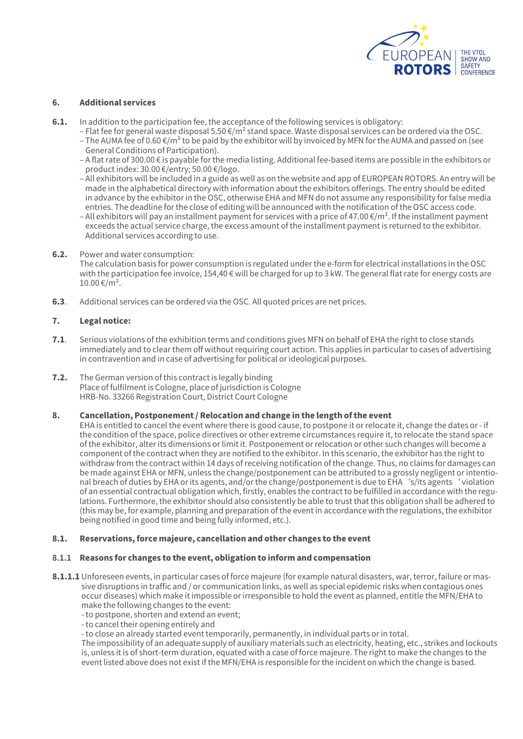

# 6. Additional services

- **6.1.** In addition to the participation fee, the acceptance of the following services is obligatory:
	- Flat fee for general waste disposal 5.50 €/m² stand space. Waste disposal services can be ordered via the OSC. – The AUMA fee of 0.60  $\epsilon/m^2$  to be paid by the exhibitor will by invoiced by MFN for the AUMA and passed on (see General Conditions of Participation).
	- A flat rate of 300.00 € is payable for the media listing. Additional fee-based items are possible in the exhibitors or product index: 30.00 €/entry; 50.00 €/logo.
	- All exhibitors will be included in a guide as well as on the website and app of EUROPEAN ROTORS. An entry will be made in the alphabetical directory with information about the exhibitors offerings. The entry should be edited in advance by the exhibitor in the OSC, otherwise EHA and MFN do not assume any responsibility for false media entries. The deadline for the close of editing will be announced with the notification of the OSC access code.
	- All exhibitors will pay an installment payment for services with a price of 47.00  $\epsilon/m^2$ . If the installment payment exceeds the actual service charge, the excess amount of the installment payment is returned to the exhibitor. Additional services according to use.
- 6.2. Power and water consumption: The calculation basis for power consumption is regulated under the e-form for electrical installations in the OSC with the participation fee invoice, 154,40 € will be charged for up to 3 kW. The general flat rate for energy costs are  $10.00 \text{€/m}^2$ .
- **6.3**. Additional services can be ordered via the OSC. All quoted prices are net prices.

# 7. Legal notice:

- 7.1. Serious violations of the exhibition terms and conditions gives MFN on behalf of EHA the right to close stands immediately and to clear them off without requiring court action. This applies in particular to cases of advertising in contravention and in case of advertising for political or ideological purposes.
- 7.2. The German version of this contract is legally binding Place of fulfilment is Cologne, place of jurisdiction is Cologne HRB-No. 33266 Registration Court, District Court Cologne

## 8. Cancellation, Postponement / Relocation and change in the length of the event

EHA is entitled to cancel the event where there is good cause, to postpone it or relocate it, change the dates or - if the condition of the space, police directives or other extreme circumstances require it, to relocate the stand space of the exhibitor, alter its dimensions or limit it. Postponement or relocation or other such changes will become a component of the contract when they are notified to the exhibitor. In this scenario, the exhibitor has the right to withdraw from the contract within 14 days of receiving notification of the change. Thus, no claims for damages can be made against EHA or MFN, unless the change/postponement can be attributed to a grossly negligent or intentional breach of duties by EHA or its agents, and/or the change/postponement is due to EHA's/its agents' violation of an essential contractual obligation which, firstly, enables the contract to be fulfilled in accordance with the regulations. Furthermore, the exhibitor should also consistently be able to trust that this obligation shall be adhered to (this may be, for example, planning and preparation of the event in accordance with the regulations, the exhibitor being notified in good time and being fully informed, etc.).

## 8.1. Reservations, force majeure, cancellation and other changes to the event

## **8.1.1** Reasons for changes to the event, obligation to inform and compensation

- 8.1.1.1 Unforeseen events, in particular cases of force majeure (for example natural disasters, war, terror, failure or massive disruptions in traffic and / or communication links, as well as special epidemic risks when contagious ones occur diseases) which make it impossible or irresponsible to hold the event as planned, entitle the MFN/EHA to make the following changes to the event:
	- to postpone, shorten and extend an event;

- to cancel their opening entirely and

- to close an already started event temporarily, permanently, in individual parts or in total.

The impossibility of an adequate supply of auxiliary materials such as electricity, heating, etc., strikes and lockouts is, unless it is of short-term duration, equated with a case of force majeure. The right to make the changes to the event listed above does not exist if the MFN/EHA is responsible for the incident on which the change is based.